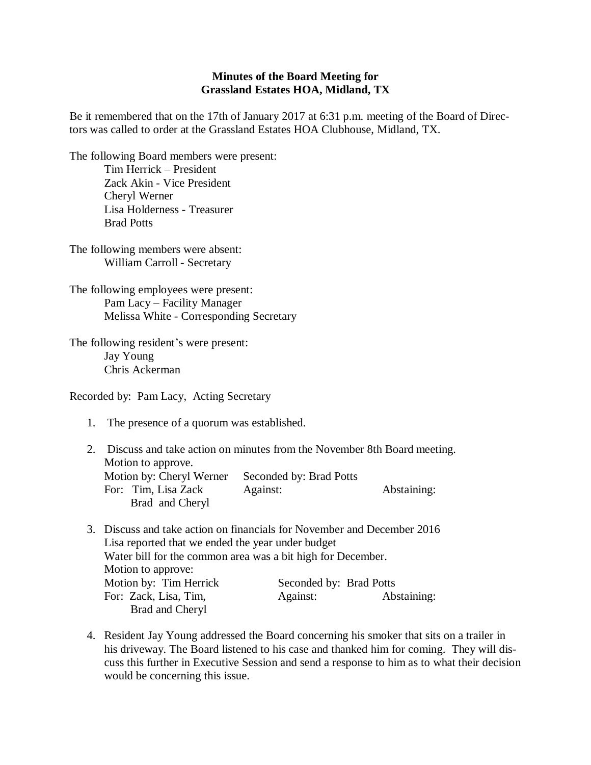## **Minutes of the Board Meeting for Grassland Estates HOA, Midland, TX**

Be it remembered that on the 17th of January 2017 at 6:31 p.m. meeting of the Board of Directors was called to order at the Grassland Estates HOA Clubhouse, Midland, TX.

The following Board members were present: Tim Herrick – President Zack Akin - Vice President

> Cheryl Werner Lisa Holderness - Treasurer Brad Potts

The following members were absent: William Carroll - Secretary

The following employees were present: Pam Lacy – Facility Manager Melissa White - Corresponding Secretary

The following resident's were present: Jay Young Chris Ackerman

Recorded by: Pam Lacy, Acting Secretary

1. The presence of a quorum was established.

2. Discuss and take action on minutes from the November 8th Board meeting. Motion to approve. Motion by: Cheryl Werner Seconded by: Brad Potts For: Tim, Lisa Zack Against: Abstaining: Brad and Cheryl

- 3. Discuss and take action on financials for November and December 2016 Lisa reported that we ended the year under budget Water bill for the common area was a bit high for December. Motion to approve: Motion by: Tim Herrick Seconded by: Brad Potts For: Zack, Lisa, Tim, Against: Abstaining: Brad and Cheryl
- 4. Resident Jay Young addressed the Board concerning his smoker that sits on a trailer in his driveway. The Board listened to his case and thanked him for coming. They will discuss this further in Executive Session and send a response to him as to what their decision would be concerning this issue.